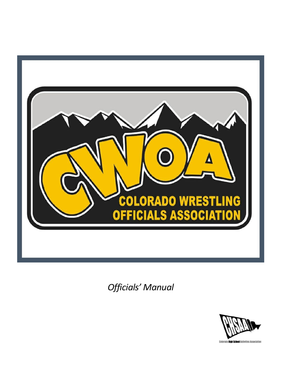

*Officials' Manual*

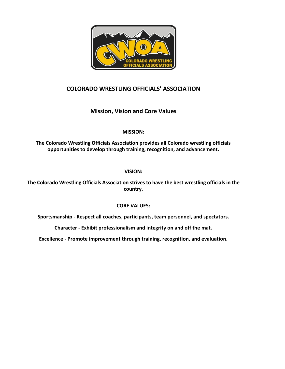

# **COLORADO WRESTLING OFFICIALS' ASSOCIATION**

# **Mission, Vision and Core Values**

# **MISSION:**

**The Colorado Wrestling Officials Association provides all Colorado wrestling officials opportunities to develop through training, recognition, and advancement.**

# **VISION:**

**The Colorado Wrestling Officials Association strives to have the best wrestling officials in the country.**

# **CORE VALUES:**

**Sportsmanship - Respect all coaches, participants, team personnel, and spectators.**

**Character - Exhibit professionalism and integrity on and off the mat.** 

**Excellence - Promote improvement through training, recognition, and evaluation.**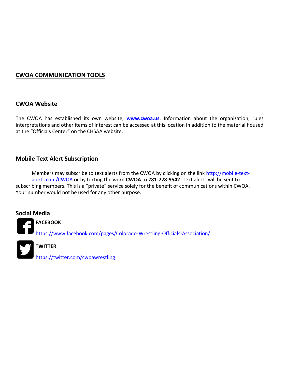# **CWOA COMMUNICATION TOOLS**

# **CWOA Website**

The CWOA has established its own website, **[www.cwoa.us](http://www.cwoa.us/)**. Information about the organization, rules interpretations and other items of interest can be accessed at this location in addition to the material housed at the "Officials Center" on the CHSAA website.

# **Mobile Text Alert Subscription**

Members may subscribe to text alerts from the CWOA by clicking on the link [http://mobile-text](http://mobile-text-alerts.com/CWOA)[alerts.com/CWOA](http://mobile-text-alerts.com/CWOA) or by texting the word **CWOA** to **781-728-9542**. Text alerts will be sent to subscribing members. This is a "private" service solely for the benefit of communications within CWOA. Your number would not be used for any other purpose.

# **Social Media**

**FACEBOOK**

<https://www.facebook.com/pages/Colorado-Wrestling-Officials-Association/>



# **TWITTER**

<https://twitter.com/cwoawrestling>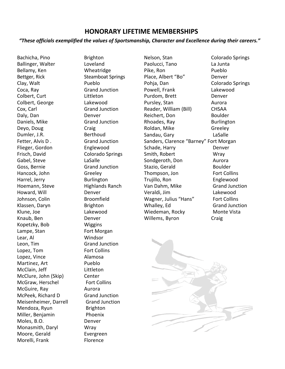# **HONORARY LIFETIME MEMBERSHIPS**

# *"These officials exemplified the values of Sportsmanship, Character and Excellence during their careers."*

Bachicha, Pino Brighton Ballinger, Walter **Loveland** Bellamy, Ken Wheatridge Bettger, Rick Steamboat Springs Clay, Walt **Pueblo** Coca, Ray Grand Junction Colbert, Curt Littleton Colbert, George Lakewood Cox, Carl Grand Junction Daly, Dan Denver Daniels, Mike Grand Junction Deyo, Doug Craig Dumler, J.R. Berthoud Fetter, Alvis D. Grand Junction Flieger, Gordon Englewood Frisch, David Colorado Springs Gabel, Steve LaSalle Goss, Bernie Grand Junction Hancock, John Greeley Harrel, Jerry Burlington Hoemann, Steve Highlands Ranch Howard, Will **Denver** Johnson, Colin Broomfield Klassen, Daryn Brighton Klune, Joe Lakewood Knaub, Ben Denver Kopetzky, Bob Wiggins Lampe, Stan Fort Morgan Lear, Al Windsor Leon, Tim Grand Junction Lopez, Tom Fort Collins Lopez, Vince Alamosa Martinez, Art Pueblo McClain, Jeff Littleton McClure, John (Skip) Center McGraw, Herschel Fort Collins McGuire, Ray **Aurora** McPeek, Richard D Grand Junction Meisenheimer, Darrell Grand Junction Mendoza, Ryun Brighton Miller, Benjamin Phoenix Moles, B.O. Denver Monasmith, Daryl Wray Moore, Gerald Evergreen Morelli, Frank Florence

Nelson, Stan Colorado Springs Paolucci, Tano La Junta Pike, Ron Pueblo Place, Albert "Bo" Denver Pohja, Dan Colorado Springs Powell, Frank Lakewood Purdom, Brett Denver Pursley, Stan Aurora Reader, William (Bill) CHSAA Reichert, Don Boulder Rhoades, Ray Burlington Roldan, Mike Greeley Sandau, Gary LaSalle Sanders, Clarence "Barney" Fort Morgan Schade, Harry **Denver** Smith, Robert Wray Sondgeroth, Don Aurora Stazio, Gerald Boulder Thompson, Jon Fort Collins Trujillo, Ron Englewood Van Dahm, Mike Grand Junction Veraldi, Jim Lakewood Wagner, Julius "Hans" Fort Collins Whalley, Ed Grand Junction Wiedeman, Rocky Monte Vista

Willems, Byron Craig

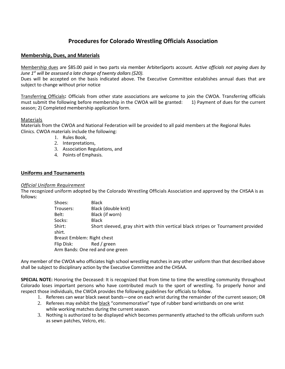# **Procedures for Colorado Wrestling Officials Association**

## **Membership, Dues, and Materials**

Membership dues are \$85.00 paid in two parts via member ArbiterSports account. *Active officials not paying dues by June 1st will be assessed a late charge of twenty dollars (\$20).*

Dues will be accepted on the basis indicated above. The Executive Committee establishes annual dues that are subject to change without prior notice

Transferring Officials**:** Officials from other state associations are welcome to join the CWOA. Transferring officials must submit the following before membership in the CWOA will be granted: 1) Payment of dues for the current season; 2) Completed membership application form.

#### Materials

Materials from the CWOA and National Federation will be provided to all paid members at the Regional Rules Clinics. CWOA materials include the following:

- 1. Rules Book,
- 2. Interpretations,
- 3. Association Regulations, and
- 4. Points of Emphasis.

#### **Uniforms and Tournaments**

#### *Official Uniform Requirement*

The recognized uniform adopted by the Colorado Wrestling Officials Association and approved by the CHSAA is as follows:

| Shoes:                     | <b>Black</b>                                                                      |
|----------------------------|-----------------------------------------------------------------------------------|
| Trousers:                  | Black (double knit)                                                               |
| Belt:                      | Black (if worn)                                                                   |
| Socks:                     | <b>Black</b>                                                                      |
| Shirt:                     | Short sleeved, gray shirt with thin vertical black stripes or Tournament provided |
| shirt.                     |                                                                                   |
| Breast Emblem: Right chest |                                                                                   |
| Flip Disk:                 | Red / green                                                                       |
|                            | Arm Bands: One red and one green                                                  |

Any member of the CWOA who officiates high school wrestling matches in any other uniform than that described above shall be subject to disciplinary action by the Executive Committee and the CHSAA.

**SPECIAL NOTE:** Honoring the Deceased: It is recognized that from time to time the wrestling community throughout Colorado loses important persons who have contributed much to the sport of wrestling. To properly honor and respect those individuals, the CWOA provides the following guidelines for officials to follow.

- 1. Referees can wear black sweat bands—one on each wrist during the remainder of the current season; OR
- 2. Referees may exhibit the black "commemorative" type of rubber band wristbands on one wrist while working matches during the current season.
- 3. Nothing is authorized to be displayed which becomes permanently attached to the officials uniform such as sewn patches, Velcro, etc.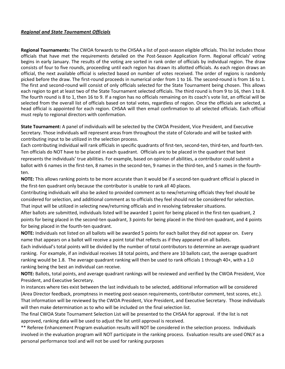# *Regional and State Tournament Officials*

**Regional Tournaments:** The CWOA forwards to the CHSAA a list of post-season eligible officials. This list includes those officials that have met the requirements detailed on the Post-Season Application Form. Regional officials' voting begins in early January. The results of the voting are sorted in rank order of officials by individual region. The draw consists of four to five rounds, proceeding until each region has drawn its allotted officials. As each region draws an official, the next available official is selected based on number of votes received. The order of regions is randomly picked before the draw. The first-round proceeds in numerical order from 1 to 16. The second-round is from 16 to 1. The first and second-round will consist of only officials selected for the State Tournament being chosen. This allows each region to get at least two of the State Tournament selected officials. The third round is from 9 to 16, then 1 to 8. The fourth round is 8 to 1, then 16 to 9. If a region has no officials remaining on its coach's vote list, an official will be selected from the overall list of officials based on total votes, regardless of region. Once the officials are selected, a head official is appointed for each region. CHSAA will then email confirmation to all selected officials. Each official must reply to regional directors with confirmation.

**State Tournament:** A panel of individuals will be selected by the CWOA President, Vice President, and Executive Secretary. Those individuals will represent areas from throughout the state of Colorado and will be tasked with contributing input to be utilized in the selection process.

Each contributing individual will rank officials in specific quadrants of first-ten, second-ten, third-ten, and fourth-ten. Ten officials do NOT have to be placed in each quadrant. Officials are to be placed in the quadrant that best represents the individuals' true abilities. For example, based on opinion of abilities, a contributor could submit a ballot with 6 names in the first-ten, 8 names in the second-ten, 9 names in the third-ten, and 5 names in the fourthten.

**NOTE:** This allows ranking points to be more accurate than it would be if a second-ten quadrant official is placed in the first-ten quadrant only because the contributor is unable to rank all 40 places.

Contributing individuals will also be asked to provided comment as to new/returning officials they feel should be considered for selection, and additional comment as to officials they feel should not be considered for selection. That input will be utilized in selecting new/returning officials and in resolving tiebreaker situations.

After ballots are submitted, individuals listed will be awarded 1 point for being placed in the first-ten quadrant, 2 points for being placed in the second-ten quadrant, 3 points for being placed in the third-ten quadrant, and 4 points for being placed in the fourth-ten quadrant.

**NOTE:** Individuals not listed on all ballots will be awarded 5 points for each ballot they did not appear on. Every name that appears on a ballot will receive a point total that reflects as if they appeared on all ballots.

Each individual's total points will be divided by the number of total contributors to determine an average quadrant ranking. For example, if an individual receives 18 total points, and there are 10 ballots cast, the average quadrant ranking would be 1.8. The average quadrant ranking will then be used to rank officials 1 through 40+, with a 1.0 ranking being the best an individual can receive.

**NOTE:** Ballots, total points, and average quadrant rankings will be reviewed and verified by the CWOA President, Vice President, and Executive Secretary.

In instances where ties exist between the last individuals to be selected, additional information will be considered (Area Director feedback, promptness in meeting post-season requirements, contributor comment, test scores, etc.). That information will be reviewed by the CWOA President, Vice President, and Executive Secretary. Those individuals will then make determination as to who will be included on the final selection list.

The final CWOA State Tournament Selection List will be presented to the CHSAA for approval. If the list is not approved, ranking data will be used to adjust the list until approval is received.

\*\* Referee Enhancement Program evaluation results will NOT be considered in the selection process. Individuals involved in the evaluation program will NOT participate in the ranking process. Evaluation results are used ONLY as a personal performance tool and will not be used for ranking purposes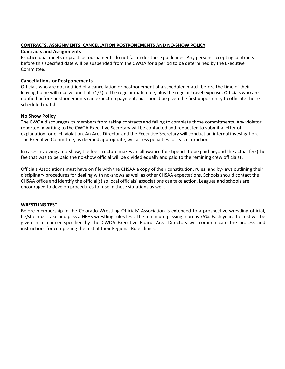#### **CONTRACTS, ASSIGNMENTS, CANCELLATION POSTPONEMENTS AND NO-SHOW POLICY**

#### **Contracts and Assignments**

Practice dual meets or practice tournaments do not fall under these guidelines. Any persons accepting contracts before this specified date will be suspended from the CWOA for a period to be determined by the Executive Committee.

# **Cancellations or Postponements**

Officials who are not notified of a cancellation or postponement of a scheduled match before the time of their leaving home will receive one-half (1/2) of the regular match fee, plus the regular travel expense. Officials who are notified before postponements can expect no payment, but should be given the first opportunity to officiate the rescheduled match.

## **No Show Policy**

The CWOA discourages its members from taking contracts and failing to complete those commitments. Any violator reported in writing to the CWOA Executive Secretary will be contacted and requested to submit a letter of explanation for each violation. An Area Director and the Executive Secretary will conduct an internal investigation. The Executive Committee, as deemed appropriate, will assess penalties for each infraction.

In cases involving a no-show, the fee structure makes an allowance for stipends to be paid beyond the actual fee (the fee that was to be paid the no-show official will be divided equally and paid to the remining crew officials) .

Officials Associations must have on file with the CHSAA a copy of their constitution, rules, and by-laws outlining their disciplinary procedures for dealing with no-shows as well as other CHSAA expectations. Schools should contact the CHSAA office and identify the official(s) so local officials' associations can take action. Leagues and schools are encouraged to develop procedures for use in these situations as well.

#### **WRESTLING TEST**

Before membership in the Colorado Wrestling Officials' Association is extended to a prospective wrestling official, he/she must take and pass a NFHS wrestling rules test. The minimum passing score is 75%. Each year, the test will be given in a manner specified by the CWOA Executive Board. Area Directors will communicate the process and instructions for completing the test at their Regional Rule Clinics.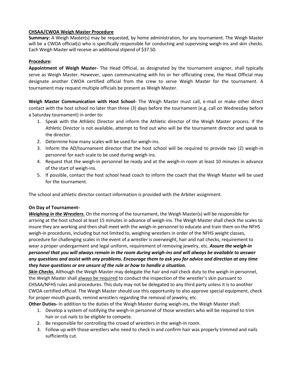# **CHSAA/CWOA Weigh Master Procedure**

**Summary:** A Weigh Master(s) may be requested, by home administration, for any tournament. The Weigh Master will be a CWOA official(s) who is specifically responsible for conducting and supervising weigh-ins and skin checks. Each Weigh Master will receive an additional stipend of \$37.50.

## **Procedure:**

**Appointment of Weigh Master-** The Head Official, as designated by the tournament assignor, shall typically serve as Weigh Master. However, upon communicating with his or her officiating crew, the Head Official may designate another CWOA certified official from the crew to serve Weigh Master for the tournament. A tournament may request multiple officials be present as Weigh Master.

**Weigh Master Communication with Host School-** The Weigh Master must call, e-mail or make other direct contact with the host school no later than three (3) days before the tournament (e.g. call on Wednesday before a Saturday tournament) in order to:

- 1. Speak with the Athletic Director and inform the Athletic director of the Weigh Master process. If the Athletic Director is not available, attempt to find out who will be the tournament director and speak to the director.
- 2. Determine how many scales will be used for weigh-ins.
- 3. Inform the AD/tournament director that the host school will be required to provide two (2) weigh-in personnel for each scale to be used during weigh-ins.
- 4. Request that the weigh-in personnel be ready and at the weigh-in room at least 10 minutes in advance of the start of weigh-ins.
- 5. If possible, contact the host school head coach to inform the coach that the Weigh Master will be used for the tournament.

The school and athletic director contact information is provided with the Arbiter assignment.

#### **On Day of Tournament-**

*Weighing in the Wrestlers.* On the morning of the tournament, the Weigh Master(s) will be responsible for arriving at the host school at least 15 minutes in advance of weigh-ins. The Weigh Master shall check the scales to insure they are working and then shall meet with the weigh-in personnel to educate and train them on the NFHS weigh-in procedures, including but not limited to, weighing wrestlers in order of the NFHS weight classes, procedure for challenging scales in the event of a wrestler is overweight, hair and nail checks, requirement to wear a proper undergarment and legal uniform, requirement of removing jewelry, etc. *Assure the weigh-in personnel that you will always remain in the room during weigh-ins and will always be available to answer any questions and assist with any problems. Encourage them to ask you for advice and direction at any time they have questions or are unsure of the rule or how to handle a situation.*

*Skin Checks.* Although the Weigh Master may delegate the hair and nail check duty to the weigh-in personnel, the Weigh Master shall always be required to conduct the inspection of the wrestler's skin pursuant to CHSAA/NFHS rules and procedures. This duty may not be delegated to any third party unless it is to another CWOA certified official. The Weigh Master should use this opportunity to also approve special equipment, check for proper mouth guards, remind wrestlers regarding the removal of jewelry, etc.

**Other Duties-** In addition to the duties of the Weigh Master during weigh-ins, the Weigh Master shall:

- 1. Develop a system of notifying the weigh-in personnel of those wrestlers who will be required to trim hair or cut nails to be eligible to compete.
- 2. Be responsible for controlling the crowd of wrestlers in the weigh-in room.
- 3. Follow up with those wrestlers who need to check in and confirm hair was properly trimmed and nails sufficiently cut.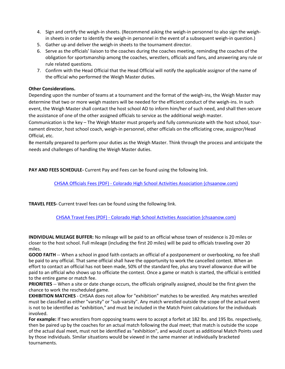- 4. Sign and certify the weigh-in sheets. (Recommend asking the weigh-in personnel to also sign the weighin sheets in order to identify the weigh-in personnel in the event of a subsequent weigh-in question.)
- 5. Gather up and deliver the weigh-in sheets to the tournament director.
- 6. Serve as the officials' liaison to the coaches during the coaches meeting, reminding the coaches of the obligation for sportsmanship among the coaches, wrestlers, officials and fans, and answering any rule or rule related questions.
- 7. Confirm with the Head Official that the Head Official will notify the applicable assignor of the name of the official who performed the Weigh Master duties.

# **Other Considerations.**

Depending upon the number of teams at a tournament and the format of the weigh-ins, the Weigh Master may determine that two or more weigh masters will be needed for the efficient conduct of the weigh-ins. In such event, the Weigh Master shall contact the host school AD to inform him/her of such need, and shall then secure the assistance of one of the other assigned officials to service as the additional weigh master.

Communication is the key – The Weigh Master must properly and fully communicate with the host school, tournament director, host school coach, weigh-in personnel, other officials on the officiating crew, assignor/Head Official, etc.

Be mentally prepared to perform your duties as the Weigh Master. Think through the process and anticipate the needs and challenges of handling the Weigh Master duties.

**PAY AND FEES SCHEDULE-** Current Pay and Fees can be found using the following link.

CHSAA Officials Fees (PDF) - [Colorado High School Activities Association \(chsaanow.com\)](https://chsaanow.com/documents/2021/8/18/CHSAA_Officials_Fees.pdf?id=526)

**TRAVEL FEES-** Current travel fees can be found using the following link.

CHSAA Travel Fees (PDF) - [Colorado High School Activities Association \(chsaanow.com\)](https://chsaanow.com/documents/2021/8/18/CHSAA_Travel_Fees.pdf?id=527)

**INDIVIDUAL MILEAGE BUFFER:** No mileage will be paid to an official whose town of residence is 20 miles or closer to the host school. Full mileage (including the first 20 miles) will be paid to officials traveling over 20 miles.

**GOOD FAITH** -- When a school in good faith contacts an official of a postponement or overbooking, no fee shall be paid to any official. That same official shall have the opportunity to work the cancelled contest. When an effort to contact an official has not been made, 50% of the standard fee, plus any travel allowance due will be paid to an official who shows up to officiate the contest. Once a game or match is started, the official is entitled to the entire game or match fee.

**PRIORITIES** -- When a site or date change occurs, the officials originally assigned, should be the first given the chance to work the rescheduled game.

**EXHIBITION MATCHES** - CHSAA does not allow for "exhibition" matches to be wrestled. Any matches wrestled must be classified as either "varsity" or "sub-varsity". Any match wrestled outside the scope of the actual event is not to be identified as "exhibition," and must be included in the Match Point calculations for the individuals involved.

**For example:** If two wrestlers from opposing teams were to accept a forfeit at 182 lbs. and 195 lbs. respectively, then be paired up by the coaches for an actual match following the dual meet; that match is outside the scope of the actual dual meet, must not be identified as "exhibition", and would count as additional Match Points used by those individuals. Similar situations would be viewed in the same manner at individually bracketed tournaments.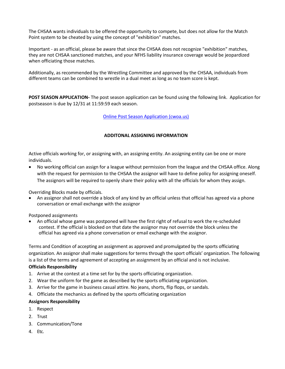The CHSAA wants individuals to be offered the opportunity to compete, but does not allow for the Match Point system to be cheated by using the concept of "exhibition" matches.

Important - as an official, please be aware that since the CHSAA does not recognize "exhibition" matches, they are not CHSAA sanctioned matches, and your NFHS liability insurance coverage would be jeopardized when officiating those matches.

Additionally, as recommended by the Wrestling Committee and approved by the CHSAA, individuals from different teams can be combined to wrestle in a dual meet as long as no team score is kept.

**POST SEASON APPLICATION-** The post season application can be found using the following link. Application for postseason is due by 12/31 at 11:59:59 each season.

## [Online Post Season Application \(cwoa.us\)](https://cwoa.us/postseason.html)

## **ADDITONAL ASSIGNING INFORMATION**

Active officials working for, or assigning with, an assigning entity. An assigning entity can be one or more individuals.

• No working official can assign for a league without permission from the league and the CHSAA office. Along with the request for permission to the CHSAA the assignor will have to define policy for assigning oneself. The assignors will be required to openly share their policy with all the officials for whom they assign.

Overriding Blocks made by officials.

• An assignor shall not override a block of any kind by an official unless that official has agreed via a phone conversation or email exchange with the assignor

Postponed assignments

• An official whose game was postponed will have the first right of refusal to work the re-scheduled contest. If the official is blocked on that date the assignor may not override the block unless the official has agreed via a phone conversation or email exchange with the assignor.

Terms and Condition of accepting an assignment as approved and promulgated by the sports officiating organization. An assignor shall make suggestions for terms through the sport officials' organization. The following is a list of the terms and agreement of accepting an assignment by an official and is not inclusive.

#### **Officials Responsibility**

- 1. Arrive at the contest at a time set for by the sports officiating organization.
- 2. Wear the uniform for the game as described by the sports officiating organization.
- 3. Arrive for the game in business casual attire. No jeans, shorts, flip flops, or sandals.
- 4. Officiate the mechanics as defined by the sports officiating organization

#### **Assignors Responsibility**

- 1. Respect
- 2. Trust
- 3. Communication/Tone
- 4. Etc.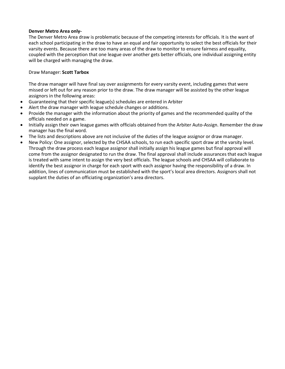#### **Denver Metro Area only-**

The Denver Metro Area draw is problematic because of the competing interests for officials. It is the want of each school participating in the draw to have an equal and fair opportunity to select the best officials for their varsity events. Because there are too many areas of the draw to monitor to ensure fairness and equality, coupled with the perception that one league over another gets better officials, one individual assigning entity will be charged with managing the draw.

#### Draw Manager: **Scott Tarbox**

The draw manager will have final say over assignments for every varsity event, including games that were missed or left out for any reason prior to the draw. The draw manager will be assisted by the other league assignors in the following areas:

- Guaranteeing that their specific league(s) schedules are entered in Arbiter
- Alert the draw manager with league schedule changes or additions.
- Provide the manager with the information about the priority of games and the recommended quality of the officials needed on a game.
- Initially assign their own league games with officials obtained from the Arbiter Auto-Assign. Remember the draw manager has the final word.
- The lists and descriptions above are not inclusive of the duties of the league assignor or draw manager.
- New Policy: One assignor, selected by the CHSAA schools, to run each specific sport draw at the varsity level. Through the draw process each league assignor shall initially assign his league games but final approval will come from the assignor designated to run the draw. The final approval shall include assurances that each league is treated with same intent to assign the very best officials. The league schools and CHSAA will collaborate to identify the best assignor in charge for each sport with each assignor having the responsibility of a draw. In addition, lines of communication must be established with the sport's local area directors. Assignors shall not supplant the duties of an officiating organization's area directors.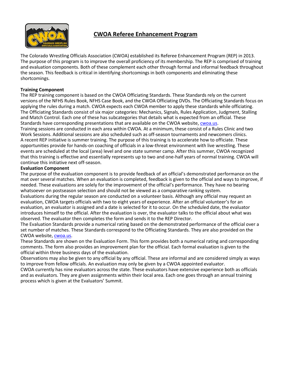

# **CWOA Referee Enhancement Program**

The Colorado Wrestling Officials Association (CWOA) established its Referee Enhancement Program (REP) in 2013. The purpose of this program is to improve the overall proficiency of its membership. The REP is comprised of training and evaluation components. Both of these complement each other through formal and informal feedback throughout the season. This feedback is critical in identifying shortcomings in both components and eliminating these shortcomings.

# **Training Component**

The REP training component is based on the CWOA Officiating Standards. These Standards rely on the current versions of the NFHS Rules Book, NFHS Case Book, and the CWOA Officiating DVDs. The Officiating Standards focus on applying the rules during a match. CWOA expects each CWOA member to apply these standards while officiating. The Officiating Standards consist of six major categories: Mechanics, Signals, Rules Application, Judgment, Stalling and Match Control. Each one of these has subcategories that details what is expected from an official. These Standards have corresponding presentations that are available on the CWOA website, [cwoa.us.](http://cwoa.us/)

Training sessions are conducted in each area within CWOA. At a minimum, these consist of a Rules Clinic and two Work Sessions. Additional sessions are also scheduled such as off-season tournaments and newcomers clinics. A recent REP initiative is summer training. The purpose of this training is to accelerate how to officiate. These opportunities provide for hands-on coaching of officials in a low-threat environment with live wrestling. These events are scheduled at the local (area) level and one state summer camp. After this summer, CWOA recognized that this training is effective and essentially represents up to two and one-half years of normal training. CWOA will continue this initiative next off-season.

## **Evaluation Component**

The purpose of the evaluation component is to provide feedback of an official's demonstrated performance on the mat over several matches. When an evaluation is completed, feedback is given to the official and ways to improve, if needed. These evaluations are solely for the improvement of the official's performance. They have no bearing whatsoever on postseason selection and should not be viewed as a comparative ranking system.

Evaluations during the regular season are conducted on a volunteer basis. Although any official may request an evaluation, CWOA targets officials with two to eight years of experience. After an official volunteer's for an evaluation, an evaluator is assigned and a date is selected for it to occur. On the scheduled date, the evaluator introduces himself to the official. After the evaluation is over, the evaluator talks to the official about what was observed. The evaluator then completes the form and sends it to the REP Director.

The Evaluation Standards provide a numerical rating based on the demonstrated performance of the official over a set number of matches. These Standards correspond to the Officiating Standards. They are also provided on the CWOA website, [cwoa.us.](http://cwoa.us/)

These Standards are shown on the Evaluation Form. This form provides both a numerical rating and corresponding comments. The form also provides an improvement plan for the official. Each formal evaluation is given to the official within three business days of the evaluation.

Observations may also be given to any official by any official. These are informal and are considered simply as ways to improve from fellow officials. An evaluation may only be given by a CWOA appointed evaluator.

CWOA currently has nine evaluators across the state. These evaluators have extensive experience both as officials and as evaluators. They are given assignments within their local area. Each one goes through an annual training process which is given at the Evaluators' Summit.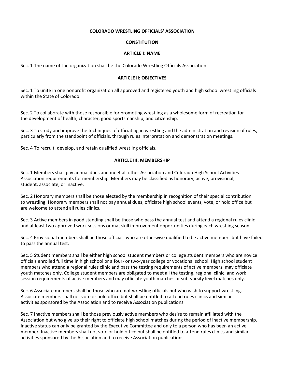#### **COLORADO WRESTLING OFFICIALS' ASSOCIATION**

#### **CONSTITUTION**

#### **ARTICLE I: NAME**

Sec. 1 The name of the organization shall be the Colorado Wrestling Officials Association.

#### **ARTICLE II: OBJECTIVES**

Sec. 1 To unite in one nonprofit organization all approved and registered youth and high school wrestling officials within the State of Colorado.

Sec. 2 To collaborate with those responsible for promoting wrestling as a wholesome form of recreation for the development of health, character, good sportsmanship, and citizenship.

Sec. 3 To study and improve the techniques of officiating in wrestling and the administration and revision of rules, particularly from the standpoint of officials, through rules interpretation and demonstration meetings.

Sec. 4 To recruit, develop, and retain qualified wrestling officials.

#### **ARTICLE III: MEMBERSHIP**

Sec. 1 Members shall pay annual dues and meet all other Association and Colorado High School Activities Association requirements for membership. Members may be classified as honorary, active, provisional, student, associate, or inactive.

Sec. 2 Honorary members shall be those elected by the membership in recognition of their special contribution to wrestling. Honorary members shall not pay annual dues, officiate high school events*,* vote, or hold office but are welcome to attend all rules clinics.

Sec. 3 Active members in good standing shall be those who pass the annual test and attend a regional rules clinic and at least two approved work sessions or mat skill improvement opportunities during each wrestling season.

Sec. 4 Provisional members shall be those officials who are otherwise qualified to be active members but have failed to pass the annual test.

Sec. 5 Student members shall be either high school student members or college student members who are novice officials enrolled full time in high school or a four- or two-year college or vocational school. High school student members who attend a regional rules clinic and pass the testing requirements of active members, may officiate youth matches only. College student members are obligated to meet all the testing, regional clinic, and work session requirements of active members and may officiate youth matches or sub-varsity level matches only.

Sec. 6 Associate members shall be those who are not wrestling officials but who wish to support wrestling. Associate members shall not vote or hold office but shall be entitled to attend rules clinics and similar activities sponsored by the Association and to receive Association publications.

Sec. 7 Inactive members shall be those previously active members who desire to remain affiliated with the Association but who give up their right to officiate high school matches during the period of inactive membership. Inactive status can only be granted by the Executive Committee and only to a person who has been an active member. Inactive members shall not vote or hold office but shall be entitled to attend rules clinics and similar activities sponsored by the Association and to receive Association publications.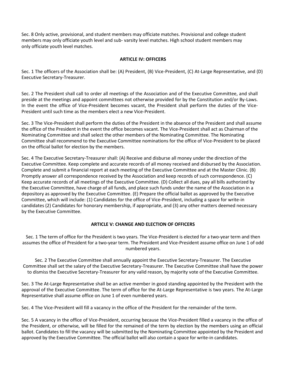Sec. 8 Only active, provisional, and student members may officiate matches. Provisional and college student members may only officiate youth level and sub- varsity level matches. High school student members may only officiate youth level matches.

## **ARTICLE IV: OFFICERS**

Sec. 1 The officers of the Association shall be: (A) President, (B) Vice-President, (C) At-Large Representative, and (D) Executive Secretary-Treasurer.

Sec. 2 The President shall call to order all meetings of the Association and of the Executive Committee, and shall preside at the meetings and appoint committees not otherwise provided for by the Constitution and/or By-Laws. In the event the office of Vice-President becomes vacant, the President shall perform the duties of the Vice-President until such time as the members elect a new Vice-President.

Sec. 3 The Vice-President shall perform the duties of the President in the absence of the President and shall assume the office of the President in the event the office becomes vacant. The Vice-President shall act as Chairman of the Nominating Committee and shall select the other members of the Nominating Committee. The Nominating Committee shall recommend to the Executive Committee nominations for the office of Vice-President to be placed on the official ballot for election by the members.

Sec. 4 The Executive Secretary-Treasurer shall: (A) Receive and disburse all money under the direction of the Executive Committee. Keep complete and accurate records of all money received and disbursed by the Association. Complete and submit a financial report at each meeting of the Executive Committee and at the Master Clinic. (B) Promptly answer all correspondence received by the Association and keep records of such correspondence. (C) Keep accurate records of all meetings of the Executive Committee. (D) Collect all dues, pay all bills authorized by the Executive Committee, have charge of all funds, and place such funds under the name of the Association in a depository as approved by the Executive Committee. (E) Prepare the official ballot as approved by the Executive Committee, which will include: (1) Candidates for the office of Vice-President, including a space for write-in candidates (2) Candidates for honorary membership, if appropriate, and (3) any other matters deemed necessary by the Executive Committee.

#### **ARTICLE V: CHANGE AND ELECTION OF OFFICERS**

Sec. 1 The term of office for the President is two years. The Vice-President is elected for a two-year term and then assumes the office of President for a two-year term. The President and Vice-President assume office on June 1 of odd numbered years.

Sec. 2 The Executive Committee shall annually appoint the Executive Secretary-Treasurer. The Executive Committee shall set the salary of the Executive Secretary-Treasurer. The Executive Committee shall have the power to dismiss the Executive Secretary-Treasurer for any valid reason, by majority vote of the Executive Committee.

Sec. 3 The At-Large Representative shall be an active member in good standing appointed by the President with the approval of the Executive Committee. The term of office for the At-Large Representative is two years. The At-Large Representative shall assume office on June 1 of even numbered years.

Sec. 4 The Vice-President will fill a vacancy in the office of the President for the remainder of the term.

Sec. 5 A vacancy in the office of Vice-President, occurring because the Vice-President filled a vacancy in the office of the President, or otherwise, will be filled for the remained of the term by election by the members using an official ballot. Candidates to fill the vacancy will be submitted by the Nominating Committee appointed by the President and approved by the Executive Committee. The official ballot will also contain a space for write-in candidates.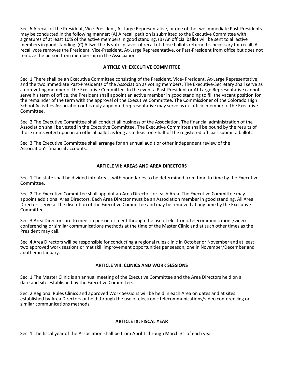Sec. 6 A recall of the President, Vice-President, At-Large Representative, or one of the two immediate Past-Presidents may be conducted in the following manner: (A) A recall petition is submitted to the Executive Committee with signatures of at least 10% of the active members in good standing. (B) An official ballot will be sent to all active members in good standing. (C) A two-thirds vote in favor of recall of those ballots returned is necessary for recall. A recall vote removes the President, Vice-President, At-Large Representative, or Past-President from office but does not remove the person from membership in the Association.

#### **ARTICLE VI: EXECUTIVE COMMITTEE**

Sec. 1 There shall be an Executive Committee consisting of the President, Vice- President, At-Large Representative, and the two immediate Past-Presidents of the Association as voting members. The Executive-Secretary shall serve as a non-voting member of the Executive Committee*.* In the event a Past-President or At-Large Representative cannot serve his term of office, the President shall appoint an active member in good standing to fill the vacant position for the remainder of the term with the approval of the Executive Committee. The Commissioner of the Colorado High School Activities Association or his duly appointed representative may serve as ex-officio member of the Executive Committee.

Sec. 2 The Executive Committee shall conduct all business of the Association. The financial administration of the Association shall be vested in the Executive Committee. The Executive Committee shall be bound by the results of those items voted upon in an official ballot as long as at least one-half of the registered officials submit a ballot.

Sec. 3 The Executive Committee shall arrange for an annual audit or other independent review of the Association's financial accounts.

#### **ARTICLE VII: AREAS AND AREA DIRECTORS**

Sec. 1 The state shall be divided into Areas, with boundaries to be determined from time to time by the Executive Committee.

Sec. 2 The Executive Committee shall appoint an Area Director for each Area. The Executive Committee may appoint additional Area Directors. Each Area Director must be an Association member in good standing. All Area Directors serve at the discretion of the Executive Committee and may be removed at any time by the Executive Committee.

Sec. 3 Area Directors are to meet in person or meet through the use of electronic telecommunications/video conferencing or similar communications methods at the time of the Master Clinic and at such other times as the President may call.

Sec. 4 Area Directors will be responsible for conducting a regional rules clinic in October or November and at least two approved work sessions or mat skill improvement opportunities per season, one in November/December and another in January.

#### **ARTICLE VIII: CLINICS AND WORK SESSIONS**

Sec. 1 The Master Clinic is an annual meeting of the Executive Committee and the Area Directors held on a date and site established by the Executive Committee.

Sec. 2 Regional Rules Clinics and approved Work Sessions will be held in each Area on dates and at sites established by Area Directors or held through the use of electronic telecommunications/video conferencing or similar communications methods.

#### **ARTICLE IX: FISCAL YEAR**

Sec. 1 The fiscal year of the Association shall be from April 1 through March 31 of each year.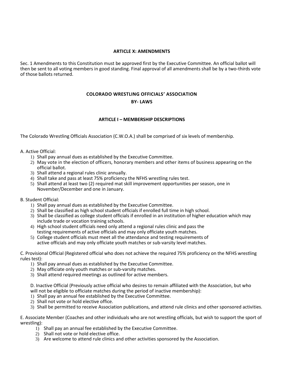#### **ARTICLE X: AMENDMENTS**

Sec. 1 Amendments to this Constitution must be approved first by the Executive Committee. An official ballot will then be sent to all voting members in good standing. Final approval of all amendments shall be by a two-thirds vote of those ballots returned.

# **COLORADO WRESTLING OFFICIALS' ASSOCIATION BY- LAWS**

#### **ARTICLE I – MEMBERSHIP DESCRIPTIONS**

The Colorado Wrestling Officials Association (C.W.O.A.) shall be comprised of six levels of membership.

A. Active Official:

- 1) Shall pay annual dues as established by the Executive Committee.
- 2) May vote in the election of officers, honorary members and other items of business appearing on the official ballot.
- 3) Shall attend a regional rules clinic annually.
- 4) Shall take and pass at least 75% proficiency the NFHS wrestling rules test.
- 5) Shall attend at least two (2) required mat skill improvement opportunities per season, one in November/December and one in January.
- B. Student Official:
	- 1) Shall pay annual dues as established by the Executive Committee.
	- 2) Shall be classified as high school student officials if enrolled full time in high school.
	- 3) Shall be classified as college student officials if enrolled in an institution of higher education which may include trade or vocation training schools.
	- 4) High school student officials need only attend a regional rules clinic and pass the testing requirements of active officials and may only officiate youth matches.
	- 5) College student officials must meet all the attendance and testing requirements of active officials and may only officiate youth matches or sub-varsity level matches.

C. Provisional Official (Registered official who does not achieve the required 75% proficiency on the NFHS wrestling rules test):

- 1) Shall pay annual dues as established by the Executive Committee.
- 2) May officiate only youth matches or sub-varsity matches.
- 3) Shall attend required meetings as outlined for active members.

D. Inactive Official (Previously active official who desires to remain affiliated with the Association, but who will not be eligible to officiate matches during the period of inactive membership):

- 1) Shall pay an annual fee established by the Executive Committee.
- 2) Shall not vote or hold elective office.
- 3) Shall be permitted to receive Association publications, and attend rule clinics and other sponsored activities.

E. Associate Member (Coaches and other individuals who are not wrestling officials, but wish to support the sport of wrestling):

- 1) Shall pay an annual fee established by the Executive Committee.
- 2) Shall not vote or hold elective office.
- 3) Are welcome to attend rule clinics and other activities sponsored by the Association.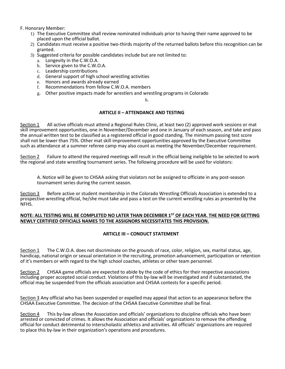F. Honorary Member:

- 1) The Executive Committee shall review nominated individuals prior to having their name approved to be placed upon the official ballot.
- 2) Candidates must receive a positive two-thirds majority of the returned ballots before this recognition can be granted.
- 3) Suggested criteria for possible candidates include but are not limited to:
	- a. Longevity in the C.W.O.A.
	- b. Service given to the C.W.O.A.
	- c. Leadership contributions
	- d. General support of high school wrestling activities
	- e. Honors and awards already earned
	- f. Recommendations from fellow C.W.O.A. members
	- g. Other positive impacts made for wrestlers and wrestling programs in Colorado

h.

#### **ARTICLE II – ATTENDANCE AND TESTING**

Section 1 All active officials must attend a Regional Rules Clinic, at least two (2) approved work sessions or mat skill improvement opportunities, one in November/December and one in January of each season, and take and pass the annual written test to be classified as a registered official in good standing. The minimum passing test score shall not be lower than 75%. Other mat skill improvement opportunities approved by the Executive Committee such as attendance at a summer referee camp may also count as meeting the November/December requirement.

Section 2 Failure to attend the required meetings will result in the official being ineligible to be selected to work the regional and state wrestling tournament series. The following procedure will be used for violators:

A. Notice will be given to CHSAA asking that violators not be assigned to officiate in any post-season tournament series during the current season.

Section 3 Before active or student membership in the Colorado Wrestling Officials Association is extended to a prospective wrestling official, he/she must take and pass a test on the current wrestling rules as presented by the NFHS.

#### **NOTE: ALL TESTING WILL BE COMPLETED NO LATER THAN DECEMBER 1ST OF EACH YEAR. THE NEED FOR GETTING NEWLY CERTIFIED OFFICIALS NAMES TO THE ASSIGNORS NECESSITATES THIS PROVISION.**

# **ARTICLE III – CONDUCT STATEMENT**

Section 1 The C.W.O.A. does not discriminate on the grounds of race, color, religion, sex, marital status, age, handicap, national origin or sexual orientation in the recruiting, promotion advancement, participation or retention of it's members or with regard to the high school coaches, athletes or other team personnel.

Section 2 CHSAA game officials are expected to abide by the code of ethics for their respective associations including proper accepted social conduct. Violations of this by-law will be investigated and if substantiated, the official may be suspended from the officials association and CHSAA contests for a specific period.

Section 3 Any official who has been suspended or expelled may appeal that action to an appearance before the CHSAA Executive Committee. The decision of the CHSAA Executive Committee shall be final.

Section 4 This by-law allows the Association and officials' organizations to discipline officials who have been arrested or convicted of crimes. It allows the Association and officials' organizations to remove the offending official for conduct detrimental to interscholastic athletics and activities. All officials' organizations are required to place this by-law in their organization's operations and procedures.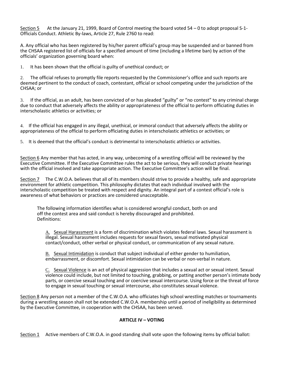Section 5 At the January 21, 1999, Board of Control meeting the board voted 54 – 0 to adopt proposal S-1- Officials Conduct. Athletic By-laws, Article 27, Rule 2760 to read:

A. Any official who has been registered by his/her parent official's group may be suspended and or banned from the CHSAA registered list of officials for a specified amount of time (including a lifetime ban) by action of the officials' organization governing board when:

1. It has been shown that the official is guilty of unethical conduct; or

2. The official refuses to promptly file reports requested by the Commissioner's office and such reports are deemed pertinent to the conduct of coach, contestant, official or school competing under the jurisdiction of the CHSAA; or

3. If the official, as an adult, has been convicted of or has pleaded "guilty" or "no contest" to any criminal charge due to conduct that adversely affects the ability or appropriateness of the official to perform officiating duties in interscholastic athletics or activities; or

4. If the official has engaged in any illegal, unethical, or immoral conduct that adversely affects the ability or appropriateness of the official to perform officiating duties in interscholastic athletics or activities; or

5. It is deemed that the official's conduct is detrimental to interscholastic athletics or activities.

Section 6 Any member that has acted, in any way, unbecoming of a wrestling official will be reviewed by the Executive Committee. If the Executive Committee rules the act to be serious, they will conduct private hearings with the official involved and take appropriate action. The Executive Committee's action will be final.

Section 7 The C.W.O.A. believes that all of its members should strive to provide a healthy, safe and appropriate environment for athletic competition. This philosophy dictates that each individual involved with the interscholastic competition be treated with respect and dignity. An integral part of a contest official's role is awareness of what behaviors or practices are considered unacceptable.

The following information identifies what is considered wrongful conduct, both on and off the contest area and said conduct is hereby discouraged and prohibited. Definitions:

A. Sexual Harassment is a form of discrimination which violates federal laws. Sexual harassment is illegal. Sexual harassment includes requests for sexual favors, sexual motivated physical contact/conduct, other verbal or physical conduct, or communication of any sexual nature.

B. Sexual Intimidation is conduct that subject individual of either gender to humiliation, embarrassment, or discomfort. Sexual intimidation can be verbal or non-verbal in nature.

C. Sexual Violence is an act of physical aggression that includes a sexual act or sexual intent. Sexual violence could include, but not limited to touching, grabbing, or patting another person's intimate body parts, or coercive sexual touching and or coercive sexual intercourse. Using force or the threat of force to engage in sexual touching or sexual intercourse, also constitutes sexual violence.

Section 8 Any person not a member of the C.W.O.A. who officiates high school wrestling matches or tournaments during a wrestling season shall not be extended C.W.O.A. membership until a period of ineligibility as determined by the Executive Committee, in cooperation with the CHSAA, has been served.

#### **ARTICLE IV – VOTING**

Section 1 Active members of C.W.O.A. in good standing shall vote upon the following items by official ballot: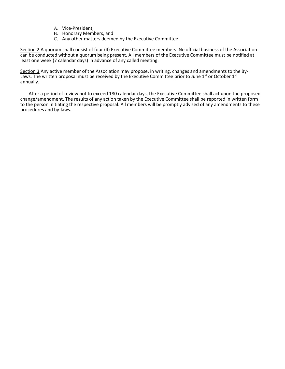- A. Vice-President,
- B. Honorary Members, and
- C. Any other matters deemed by the Executive Committee.

Section 2 A quorum shall consist of four (4) Executive Committee members. No official business of the Association can be conducted without a quorum being present. All members of the Executive Committee must be notified at least one week (7 calendar days) in advance of any called meeting.

Section 3 Any active member of the Association may propose, in writing, changes and amendments to the By-Laws. The written proposal must be received by the Executive Committee prior to June 1<sup>st</sup> or October 1<sup>st</sup> annually.

After a period of review not to exceed 180 calendar days, the Executive Committee shall act upon the proposed change/amendment. The results of any action taken by the Executive Committee shall be reported in written form to the person initiating the respective proposal. All members will be promptly advised of any amendments to these procedures and by-laws.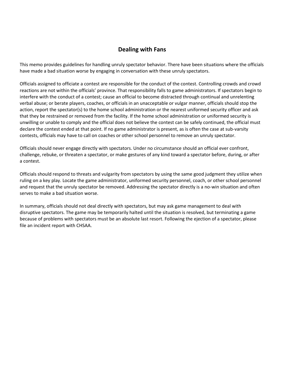# **Dealing with Fans**

This memo provides guidelines for handling unruly spectator behavior. There have been situations where the officials have made a bad situation worse by engaging in conversation with these unruly spectators.

Officials assigned to officiate a contest are responsible for the conduct of the contest. Controlling crowds and crowd reactions are not within the officials' province. That responsibility falls to game administrators. If spectators begin to interfere with the conduct of a contest; cause an official to become distracted through continual and unrelenting verbal abuse; or berate players, coaches, or officials in an unacceptable or vulgar manner, officials should stop the action, report the spectator(s) to the home school administration or the nearest uniformed security officer and ask that they be restrained or removed from the facility. If the home school administration or uniformed security is unwilling or unable to comply and the official does not believe the contest can be safely continued, the official must declare the contest ended at that point. If no game administrator is present, as is often the case at sub-varsity contests, officials may have to call on coaches or other school personnel to remove an unruly spectator.

Officials should never engage directly with spectators. Under no circumstance should an official ever confront, challenge, rebuke, or threaten a spectator, or make gestures of any kind toward a spectator before, during, or after a contest.

Officials should respond to threats and vulgarity from spectators by using the same good judgment they utilize when ruling on a key play. Locate the game administrator, uniformed security personnel, coach, or other school personnel and request that the unruly spectator be removed. Addressing the spectator directly is a no-win situation and often serves to make a bad situation worse.

In summary, officials should not deal directly with spectators, but may ask game management to deal with disruptive spectators. The game may be temporarily halted until the situation is resolved, but terminating a game because of problems with spectators must be an absolute last resort. Following the ejection of a spectator, please file an incident report with CHSAA.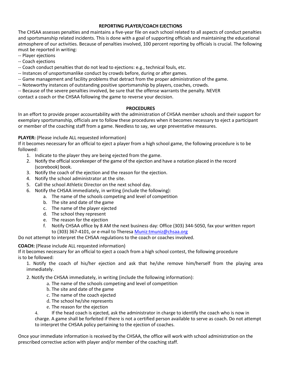## **REPORTING PLAYER/COACH EJECTIONS**

The CHSAA assesses penalties and maintains a five-year file on each school related to all aspects of conduct penalties and sportsmanship related incidents. This is done with a goal of supporting officials and maintaining the educational atmosphere of our activities. Because of penalties involved, 100 percent reporting by officials is crucial. The following must be reported in writing:

- -- Player ejections
- -- Coach ejections

-- Coach conduct penalties that do not lead to ejections: e.g., technical fouls, etc.

- -- Instances of unsportsmanlike conduct by crowds before, during or after games.
- -- Game management and facility problems that detract from the proper administration of the game.
- -- Noteworthy instances of outstanding positive sportsmanship by players, coaches, crowds.
- -- Because of the severe penalties involved, be sure that the offense warrants the penalty. NEVER

contact a coach or the CHSAA following the game to reverse your decision.

#### **PROCEDURES**

In an effort to provide proper accountability with the administration of CHSAA member schools and their support for exemplary sportsmanship, officials are to follow these procedures when it becomes necessary to eject a participant or member of the coaching staff from a game. Needless to say, we urge preventative measures.

#### **PLAYER:** (Please include ALL requested information)

If it becomes necessary for an official to eject a player from a high school game, the following procedure is to be followed:

- 1. Indicate to the player they are being ejected from the game.
- 2. Notify the official scorekeeper of the game of the ejection and have a notation placed in the record (scorebook) book.
- 3. Notify the coach of the ejection and the reason for the ejection.
- 4. Notify the school administrator at the site.
- 5. Call the school Athletic Director on the next school day.
- 6. Notify the CHSAA immediately, in writing (include the following):
	- a. The name of the schools competing and level of competition
	- b. The site and date of the game
	- c. The name of the player ejected
	- d. The school they represent
	- e. The reason for the ejection
	- f. Notify CHSAA office by 8 AM the next business day: Office (303) 344-5050, fax your written report to (303) 367-4101, or e-mail to Theresa [Muniz:tmuniz@chsaa.org](ftp://Muniz:tmuniz@chsaa.org/)

Do not attempt to interpret the CHSAA regulations to the coach or coaches involved.

# **COACH:** (Please include ALL requested information)

If it becomes necessary for an official to eject a coach from a high school contest, the following procedure is to be followed:

1. Notify the coach of his/her ejection and ask that he/she remove him/herself from the playing area immediately.

2. Notify the CHSAA immediately, in writing (include the following information):

- a. The name of the schools competing and level of competition
- b. The site and date of the game
- c. The name of the coach ejected
- d. The school he/she represents
- e. The reason for the ejection

4. If the head coach is ejected, ask the administrator in charge to identify the coach who is now in charge. A game shall be forfeited if there is not a certified person available to serve as coach. Do not attempt to interpret the CHSAA policy pertaining to the ejection of coaches.

Once your immediate information is received by the CHSAA, the office will work with school administration on the prescribed corrective action with player and/or member of the coaching staff.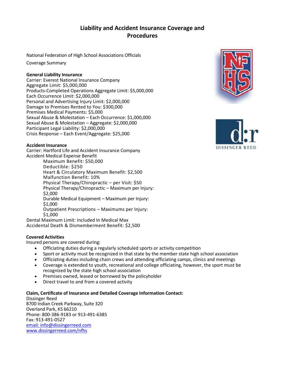# **Liability and Accident Insurance Coverage and Procedures**

National Federation of High School Associations Officials

Coverage Summary

## **General Liability Insurance**

Carrier: Everest National Insurance Company Aggregate Limit: \$5,000,000 Products-Completed Operations Aggregate Limit: \$5,000,000 Each Occurrence Limit: \$2,000,000 Personal and Advertising Injury Limit: \$2,000,000 Damage to Premises Rented to You: \$300,000 Premises Medical Payments: \$5,000 Sexual Abuse & Molestation – Each Occurrence: \$1,000,000 Sexual Abuse & Molestation – Aggregate: \$2,000,000 Participant Legal Liability: \$2,000,000 Crisis Response – Each Event/Aggregate: \$25,000

# **Accident Insurance**

Carrier: Hartford Life and Accident Insurance Company Accident Medical Expense Benefit

Maximum Benefit: \$50,000 Deductible: \$250 Heart & Circulatory Maximum Benefit: \$2,500 Malfunction Benefit: 10% Physical Therapy/Chiropractic – per Visit: \$50 Physical Therapy/Chiropractic – Maximum per Injury: \$2,000 Durable Medical Equipment – Maximum per Injury: \$1,000 Outpatient Prescriptions – Maximums per Injury: \$1,000

Dental Maximum Limit: Included In Medical Max Accidental Death & Dismemberment Benefit: \$2,500

# **Covered Activities**

Insured persons are covered during:

- Officiating duties during a regularly scheduled sports or activity competition
- Sport or activity must be recognized in that state by the member state high school association
- Officiating duties including chain crews and attending officiating camps, clinics and meetings
- Coverage is extended to youth, recreational and college officiating, however, the sport must be recognized by the state high school association
- Premises owned, leased or borrowed by the policyholder
- Direct travel to and from a covered activity

# **Claim, Certificate of Insurance and Detailed Coverage Information Contact:**

Dissinger Reed 8700 Indian Creek Parkway, Suite 320 Overland Park, KS 66210 Phone: 800-386-9183 or 913-491-6385 Fax: 913-491-0527 [email:](mailto:info@dissingerreed.com) info@dissingerreed.com [www.dissingerreed.com/nfhs](http://www.dissingerreed.com/nfhs)



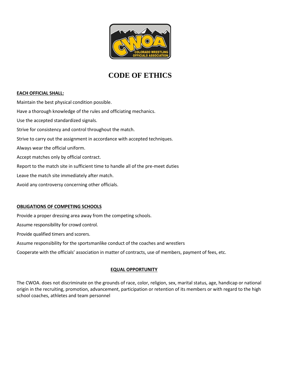

# **CODE OF ETHICS**

#### **EACH OFFICIAL SHALL:**

Maintain the best physical condition possible. Have a thorough knowledge of the rules and officiating mechanics. Use the accepted standardized signals. Strive for consistency and control throughout the match. Strive to carry out the assignment in accordance with accepted techniques. Always wear the official uniform. Accept matches only by official contract. Report to the match site in sufficient time to handle all of the pre-meet duties Leave the match site immediately after match. Avoid any controversy concerning other officials.

#### **OBLIGATIONS OF COMPETING SCHOOLS**

Provide a proper dressing area away from the competing schools.

Assume responsibility for crowd control.

Provide qualified timers and scorers.

Assume responsibility for the sportsmanlike conduct of the coaches and wrestlers

Cooperate with the officials' association in matter of contracts, use of members, payment of fees, etc.

#### **EQUAL OPPORTUNITY**

The CWOA. does not discriminate on the grounds of race, color, religion, sex, marital status, age, handicap or national origin in the recruiting, promotion, advancement, participation or retention of its members or with regard to the high school coaches, athletes and team personnel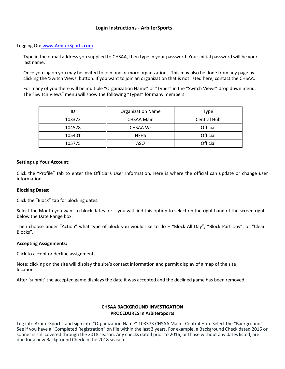# **Login Instructions - ArbiterSports**

#### Logging On: [www.ArbiterSports.com](http://www.arbitersports.com/)

Type in the e-mail address you supplied to CHSAA, then type in your password. Your initial password will be your last name.

Once you log on you may be invited to join one or more organizations. This may also be done from any page by clicking the 'Switch Views' button. If you want to join an organization that is not listed here, contact the CHSAA.

For many of you there will be multiple "Organization Name" or "Types" in the "Switch Views" drop down menu. The "Switch Views" menu will show the following "Types" for many members.

| ID     | <b>Organization Name</b> | Type        |
|--------|--------------------------|-------------|
| 103373 | <b>CHSAA Main</b>        | Central Hub |
| 104528 | CHSAA Wr                 | Official    |
| 105401 | <b>NFHS</b>              | Official    |
| 105775 | ASO                      | Official    |

#### **Setting up Your Account:**

Click the "Profile" tab to enter the Official's User Information. Here is where the official can update or change user information.

#### **Blocking Dates:**

Click the "Block" tab for blocking dates.

Select the Month you want to block dates for – you will find this option to select on the right hand of the screen right below the Date Range box.

Then choose under "Action" what type of block you would like to do – "Block All Day", "Block Part Day", or "Clear Blocks".

#### **Accepting Assignments:**

Click to accept or decline assignments

Note: clicking on the site will display the site's contact information and permit display of a map of the site location.

After 'submit' the accepted game displays the date it was accepted and the declined game has been removed.

#### **CHSAA BACKGROUND INVESTIGATION PROCEDURES In ArbiterSports**

Log into ArbiterSports, and sign into "Organization Name" 103373 CHSAA Main - Central Hub. Select the "Background". See if you have a "Completed Registration" on file within the last 3 years. For example, a Background Check dated 2016 or sooner is still covered through the 2018 season. Any checks dated prior to 2016, or those without any dates listed, are due for a new Background Check in the 2018 season.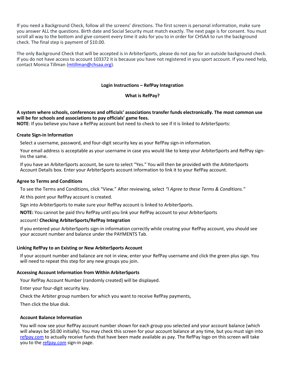If you need a Background Check, follow all the screens' directions. The first screen is personal information, make sure you answer ALL the questions. Birth date and Social Security must match exactly. The next page is for consent. You must scroll all way to the bottom and give consent every time it asks for you to in order for CHSAA to run the background check. The final step is payment of \$10.00.

The only Background Check that will be accepted is in ArbiterSports, please do not pay for an outside background check. If you do not have access to account 103372 it is because you have not registered in you sport account. If you need help, contact Monica Tillman [\(mtillman@chsaa.org\)](mailto:mtillman@chsaa.org).

#### **Login Instructions – RefPay Integration**

#### **What is RefPay?**

## **A system where schools, conferences and officials' associations transfer funds electronically. The most common use will be for schools and associations to pay officials' game fees.**

**NOTE**: If you believe you have a RefPay account but need to check to see if it is linked to ArbiterSports:

#### **Create Sign-in Information**

Select a username, password, and four-digit security key as your RefPay sign-in information.

Your email address is acceptable as your username in case you would like to keep your ArbiterSports and RefPay signins the same.

If you have an ArbiterSports account, be sure to select "Yes." You will then be provided with the ArbiterSports Account Details box. Enter your ArbiterSports account information to link it to your RefPay account.

#### **Agree to Terms and Conditions**

To see the Terms and Conditions, click "View." After reviewing, select *"I Agree to these Terms & Conditions."*

At this point your RefPay account is created.

Sign into ArbiterSports to make sure your RefPay account is linked to ArbiterSports.

**NOTE:** You cannot be paid thru RefPay until you link your RefPay account to your ArbiterSports

#### account! **Checking ArbiterSports/RefPay Integration**

If you entered your ArbiterSports sign-in information correctly while creating your RefPay account, you should see your account number and balance under the PAYMENTS Tab.

#### **Linking RefPay to an Existing or New ArbiterSports Account**

If your account number and balance are not in view, enter your RefPay username and click the green plus sign. You will need to repeat this step for any new groups you join.

#### **Accessing Account Information from Within ArbiterSports**

Your RefPay Account Number (randomly created) will be displayed.

Enter your four-digit security key.

Check the Arbiter group numbers for which you want to receive RefPay payments,

Then click the blue disk.

#### **Account Balance Information**

You will now see your RefPay account number shown for each group you selected and your account balance (which will always be \$0.00 initially). You may check this screen for your account balance at any time, but you must sign into [refpay.com](http://refpay.com/) to actually receive funds that have been made available as pay. The RefPay logo on this screen will take you to th[e refpay.com](http://refpay.com/) sign-in page.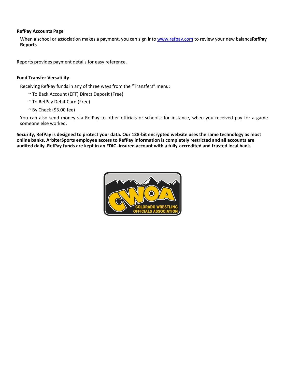#### **RefPay Accounts Page**

When a school or association makes a payment, you can sign into [www.refpay.com](http://www.refpay.com/) to review your new balance**RefPay Reports**

Reports provides payment details for easy reference.

#### **Fund Transfer Versatility**

Receiving RefPay funds in any of three ways from the "Transfers" menu:

- ~ To Back Account (EFT) Direct Deposit (Free)
- ~ To RefPay Debit Card (Free)
- $\sim$  By Check (\$3.00 fee)

You can also send money via RefPay to other officials or schools; for instance, when you received pay for a game someone else worked.

**Security, RefPay is designed to protect your data. Our 128-bit encrypted website uses the same technology as most online banks. ArbiterSports employee access to RefPay information is completely restricted and all accounts are audited daily. RefPay funds are kept in an FDIC -insured account with a fully-accredited and trusted local bank.**

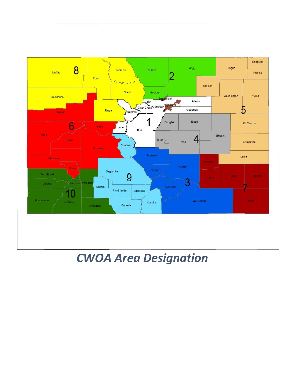

# *CWOA Area Designation*